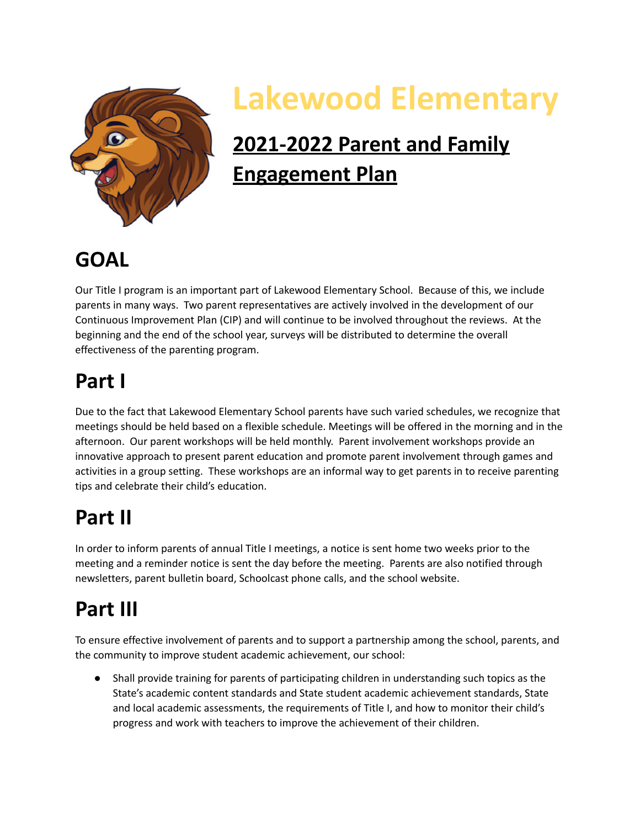

# **Lakewood Elementary**

# **2021-2022 Parent and Family Engagement Plan**

#### **GOAL**

 Our Title I program is an important part of Lakewood Elementary School. Because of this, we include parents in many ways. Two parent representatives are actively involved in the development of our Continuous Improvement Plan (CIP) and will continue to be involved throughout the reviews. At the beginning and the end of the school year, surveys will be distributed to determine the overall effectiveness of the parenting program.

#### **Part I**

 Due to the fact that Lakewood Elementary School parents have such varied schedules, we recognize that meetings should be held based on a flexible schedule. Meetings will be offered in the morning and in the afternoon. Our parent workshops will be held monthly. Parent involvement workshops provide an innovative approach to present parent education and promote parent involvement through games and activities in a group setting. These workshops are an informal way to get parents in to receive parenting tips and celebrate their child's education.

### **Part II**

 In order to inform parents of annual Title I meetings, a notice is sent home two weeks prior to the meeting and a reminder notice is sent the day before the meeting. Parents are also notified through newsletters, parent bulletin board, Schoolcast phone calls, and the school website.

## **Part III**

 To ensure effective involvement of parents and to support a partnership among the school, parents, and the community to improve student academic achievement, our school:

 ● Shall provide training for parents of participating children in understanding such topics as the State's academic content standards and State student academic achievement standards, State and local academic assessments, the requirements of Title I, and how to monitor their child's progress and work with teachers to improve the achievement of their children.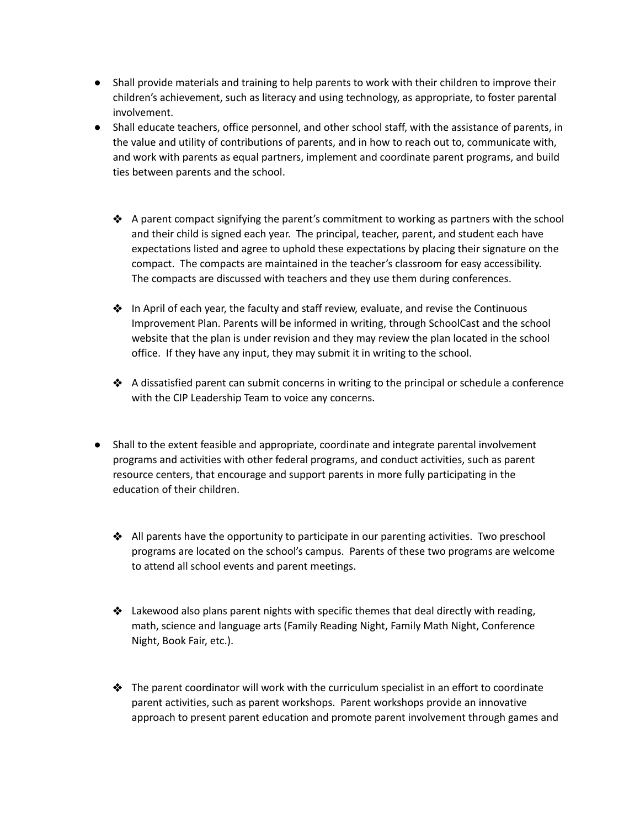- ● Shall provide materials and training to help parents to work with their children to improve their children's achievement, such as literacy and using technology, as appropriate, to foster parental involvement.
- ● Shall educate teachers, office personnel, and other school staff, with the assistance of parents, in the value and utility of contributions of parents, and in how to reach out to, communicate with, and work with parents as equal partners, implement and coordinate parent programs, and build ties between parents and the school.
	- ❖ A parent compact signifying the parent's commitment to working as partners with the school and their child is signed each year. The principal, teacher, parent, and student each have expectations listed and agree to uphold these expectations by placing their signature on the compact. The compacts are maintained in the teacher's classroom for easy accessibility. The compacts are discussed with teachers and they use them during conferences.
	- ❖ In April of each year, the faculty and staff review, evaluate, and revise the Continuous Improvement Plan. Parents will be informed in writing, through SchoolCast and the school website that the plan is under revision and they may review the plan located in the school office. If they have any input, they may submit it in writing to the school.
	- ❖ A dissatisfied parent can submit concerns in writing to the principal or schedule a conference with the CIP Leadership Team to voice any concerns.
- ● Shall to the extent feasible and appropriate, coordinate and integrate parental involvement programs and activities with other federal programs, and conduct activities, such as parent resource centers, that encourage and support parents in more fully participating in the education of their children.
	- ❖ All parents have the opportunity to participate in our parenting activities. Two preschool programs are located on the school's campus. Parents of these two programs are welcome to attend all school events and parent meetings.
	- ❖ Lakewood also plans parent nights with specific themes that deal directly with reading, math, science and language arts (Family Reading Night, Family Math Night, Conference Night, Book Fair, etc.).
	- ❖ The parent coordinator will work with the curriculum specialist in an effort to coordinate parent activities, such as parent workshops. Parent workshops provide an innovative approach to present parent education and promote parent involvement through games and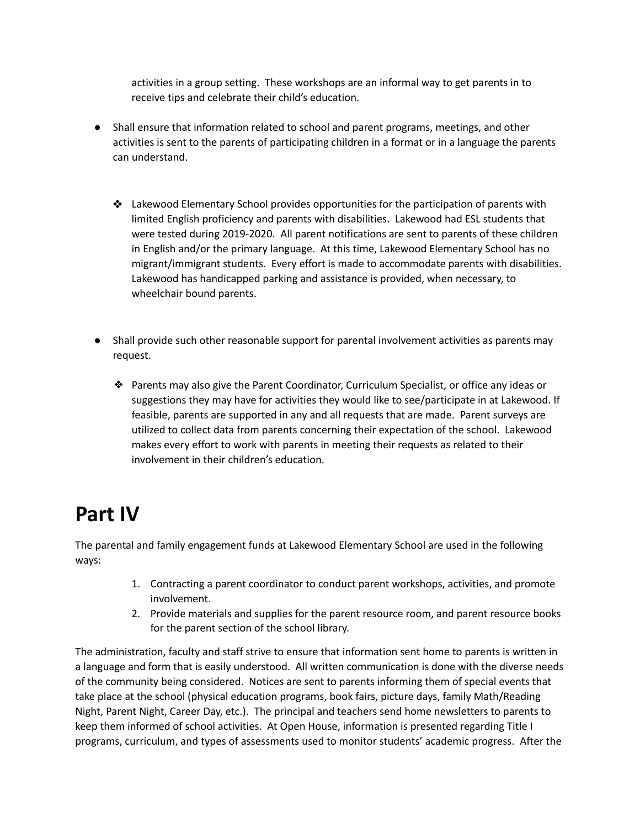activities in a group setting. These workshops are an informal way to get parents in to receive tips and celebrate their child's education.

- ● Shall ensure that information related to school and parent programs, meetings, and other activities is sent to the parents of participating children in a format or in a language the parents can understand.
	- ❖ Lakewood Elementary School provides opportunities for the participation of parents with limited English proficiency and parents with disabilities. Lakewood had ESL students that were tested during 2019-2020. All parent notifications are sent to parents of these children in English and/or the primary language. At this time, Lakewood Elementary School has no migrant/immigrant students. Every effort is made to accommodate parents with disabilities. Lakewood has handicapped parking and assistance is provided, when necessary, to wheelchair bound parents.
- ● Shall provide such other reasonable support for parental involvement activities as parents may request.
	- ❖ Parents may also give the Parent Coordinator, Curriculum Specialist, or office any ideas or suggestions they may have for activities they would like to see/participate in at Lakewood. If feasible, parents are supported in any and all requests that are made. Parent surveys are utilized to collect data from parents concerning their expectation of the school. Lakewood makes every effort to work with parents in meeting their requests as related to their involvement in their children's education.

#### **Part IV**

 The parental and family engagement funds at Lakewood Elementary School are used in the following ways:

- 1. Contracting a parent coordinator to conduct parent workshops, activities, and promote involvement.
- 2. Provide materials and supplies for the parent resource room, and parent resource books for the parent section of the school library.

 The administration, faculty and staff strive to ensure that information sent home to parents is written in a language and form that is easily understood. All written communication is done with the diverse needs of the community being considered. Notices are sent to parents informing them of special events that take place at the school (physical education programs, book fairs, picture days, family Math/Reading Night, Parent Night, Career Day, etc.). The principal and teachers send home newsletters to parents to keep them informed of school activities. At Open House, information is presented regarding Title I programs, curriculum, and types of assessments used to monitor students' academic progress. After the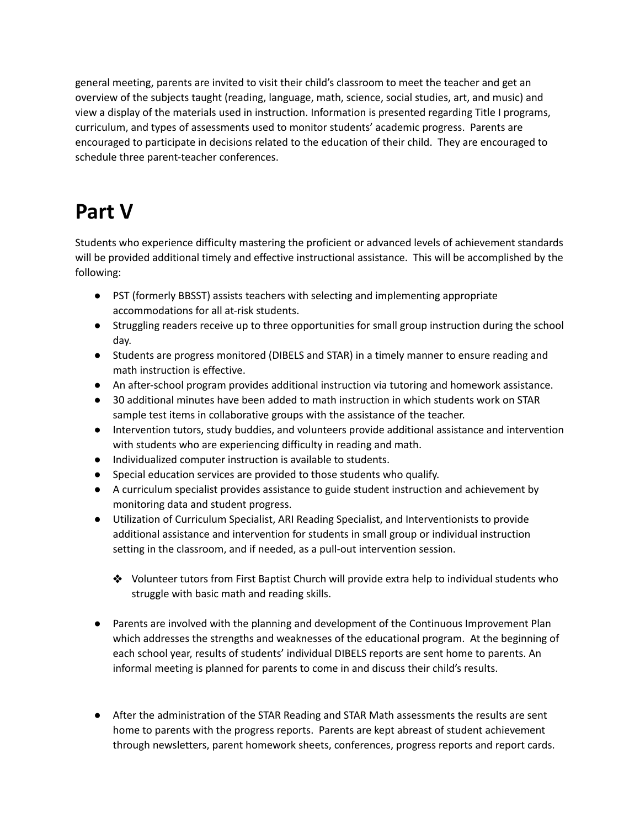general meeting, parents are invited to visit their child's classroom to meet the teacher and get an overview of the subjects taught (reading, language, math, science, social studies, art, and music) and view a display of the materials used in instruction. Information is presented regarding Title I programs, curriculum, and types of assessments used to monitor students' academic progress. Parents are encouraged to participate in decisions related to the education of their child. They are encouraged to schedule three parent-teacher conferences.

### **Part V**

 Students who experience difficulty mastering the proficient or advanced levels of achievement standards will be provided additional timely and effective instructional assistance. This will be accomplished by the following:

- ● PST (formerly BBSST) assists teachers with selecting and implementing appropriate accommodations for all at-risk students.
- ● Struggling readers receive up to three opportunities for small group instruction during the school day.
- ● Students are progress monitored (DIBELS and STAR) in a timely manner to ensure reading and math instruction is effective.
- An after-school program provides additional instruction via tutoring and homework assistance.
- ● 30 additional minutes have been added to math instruction in which students work on STAR sample test items in collaborative groups with the assistance of the teacher.
- ● Intervention tutors, study buddies, and volunteers provide additional assistance and intervention with students who are experiencing difficulty in reading and math.
- Individualized computer instruction is available to students.
- Special education services are provided to those students who qualify.
- ● A curriculum specialist provides assistance to guide student instruction and achievement by monitoring data and student progress.
- ● Utilization of Curriculum Specialist, ARI Reading Specialist, and Interventionists to provide additional assistance and intervention for students in small group or individual instruction setting in the classroom, and if needed, as a pull-out intervention session.
	- ❖ Volunteer tutors from First Baptist Church will provide extra help to individual students who struggle with basic math and reading skills.
- ● Parents are involved with the planning and development of the Continuous Improvement Plan which addresses the strengths and weaknesses of the educational program. At the beginning of each school year, results of students' individual DIBELS reports are sent home to parents. An informal meeting is planned for parents to come in and discuss their child's results.
- ● After the administration of the STAR Reading and STAR Math assessments the results are sent home to parents with the progress reports. Parents are kept abreast of student achievement through newsletters, parent homework sheets, conferences, progress reports and report cards.